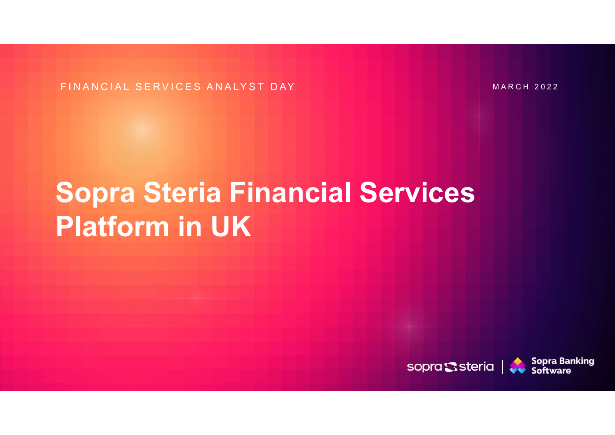FINANCIAL SERVICES ANALYST DAY MARCH 2022

## Sopra Steria Fil<br>Platform in UK<br>Example of the UK Sopra Steria Financial Services Platform in UK

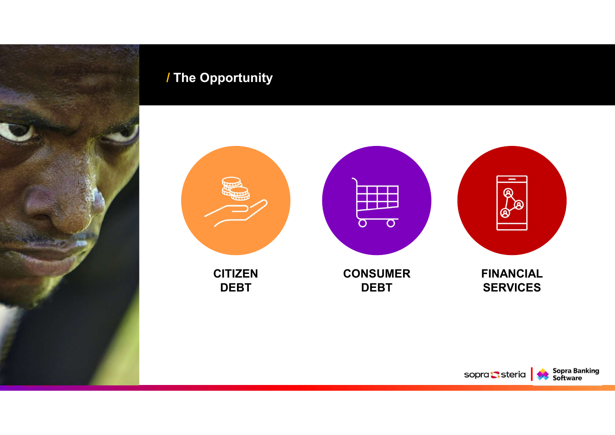#### / The Opportunity



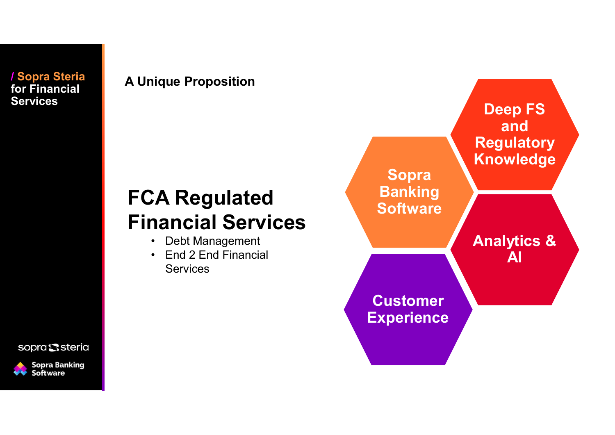/ Sopra Steria for Financial

#### A Unique Proposition

### FCA Regulated Financial Services

- 
- **Services**



sopra Ssteria

**Sopra Banking<br>Software**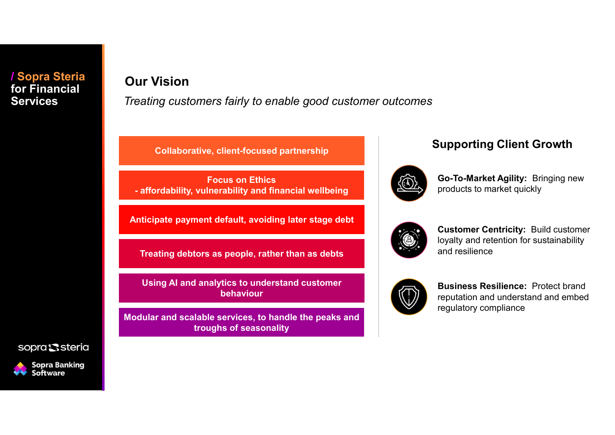#### / Sopra Steria for Financial

#### Our Vision

Services Treating customers fairly to enable good customer outcomes

Focus on Ethics ur Vision<br>
eating customers fairly to enable good customer outcomes<br>
Collaborative, client-focused partnership<br>
Focus on Ethics<br>
- affordability, vulnerability and financial wellbeing<br>
Inticipate payment default, avoiding

Anticipate payment default, avoiding later stage debt

Treating debtors as people, rather than as debts

Using AI and analytics to understand customer behaviour

Modular and scalable services, to handle the peaks and troughs of seasonality

#### Supporting Client Growth Collaborative, client-focused partnership



Go-To-Market Agility: Bringing new products to market quickly



Customer Centricity: Build customer loyalty and retention for sustainability and resilience



Business Resilience: Protect brand reputation and understand and embed regulatory compliance

sopra Ssteria

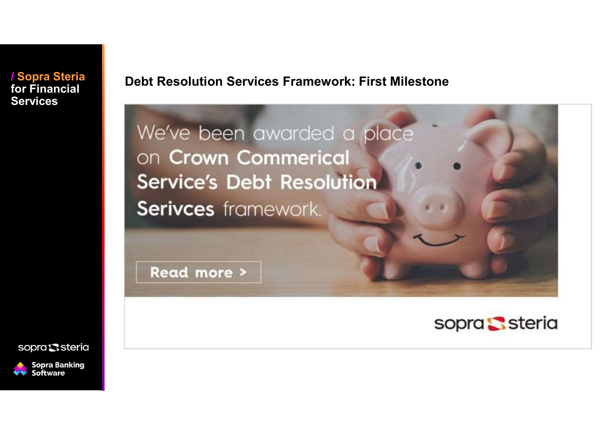/ Sopra Steria for Financial **Services** 

Debt Resolution Services Framework: First Milestone

We've been awarded a place on Crown Commerical **Service's Debt Resolution** Serivces framework.

Read more >



sopra Ssteria

**Sopra Banking** Software